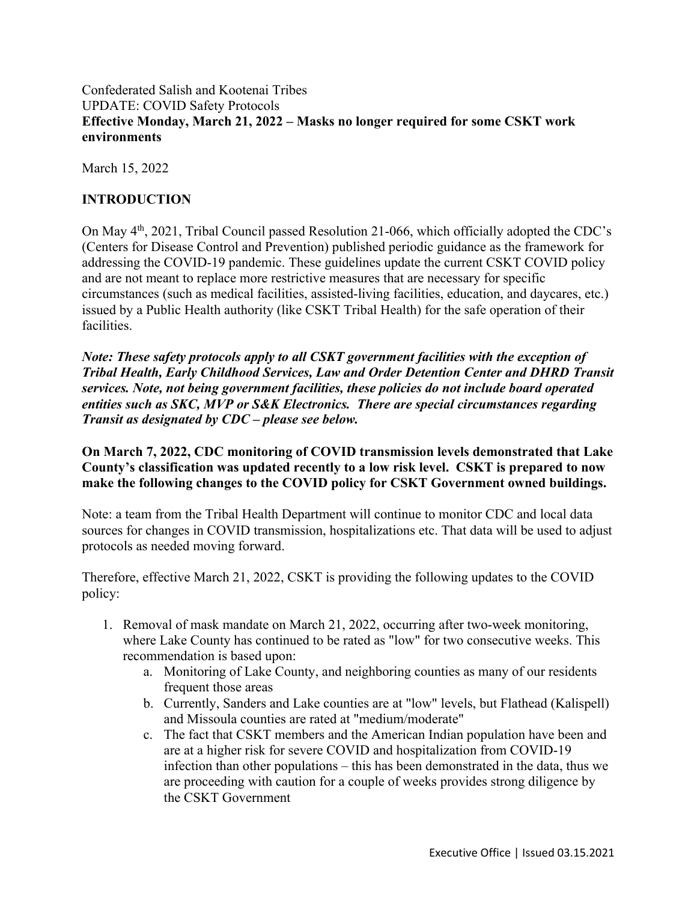## Confederated Salish and Kootenai Tribes UPDATE: COVID Safety Protocols **Effective Monday, March 21, 2022 – Masks no longer required for some CSKT work environments**

March 15, 2022

## **INTRODUCTION**

On May 4<sup>th</sup>, 2021, Tribal Council passed Resolution 21-066, which officially adopted the CDC's (Centers for Disease Control and Prevention) published periodic guidance as the framework for addressing the COVID-19 pandemic. These guidelines update the current CSKT COVID policy and are not meant to replace more restrictive measures that are necessary for specific circumstances (such as medical facilities, assisted-living facilities, education, and daycares, etc.) issued by a Public Health authority (like CSKT Tribal Health) for the safe operation of their facilities.

*Note: These safety protocols apply to all CSKT government facilities with the exception of Tribal Health, Early Childhood Services, Law and Order Detention Center and DHRD Transit services. Note, not being government facilities, these policies do not include board operated entities such as SKC, MVP or S&K Electronics. There are special circumstances regarding Transit as designated by CDC – please see below.*

**On March 7, 2022, CDC monitoring of COVID transmission levels demonstrated that Lake County's classification was updated recently to a low risk level. CSKT is prepared to now make the following changes to the COVID policy for CSKT Government owned buildings.**

Note: a team from the Tribal Health Department will continue to monitor CDC and local data sources for changes in COVID transmission, hospitalizations etc. That data will be used to adjust protocols as needed moving forward.

Therefore, effective March 21, 2022, CSKT is providing the following updates to the COVID policy:

- 1. Removal of mask mandate on March 21, 2022, occurring after two-week monitoring, where Lake County has continued to be rated as "low" for two consecutive weeks. This recommendation is based upon:
	- a. Monitoring of Lake County, and neighboring counties as many of our residents frequent those areas
	- b. Currently, Sanders and Lake counties are at "low" levels, but Flathead (Kalispell) and Missoula counties are rated at "medium/moderate"
	- c. The fact that CSKT members and the American Indian population have been and are at a higher risk for severe COVID and hospitalization from COVID-19 infection than other populations – this has been demonstrated in the data, thus we are proceeding with caution for a couple of weeks provides strong diligence by the CSKT Government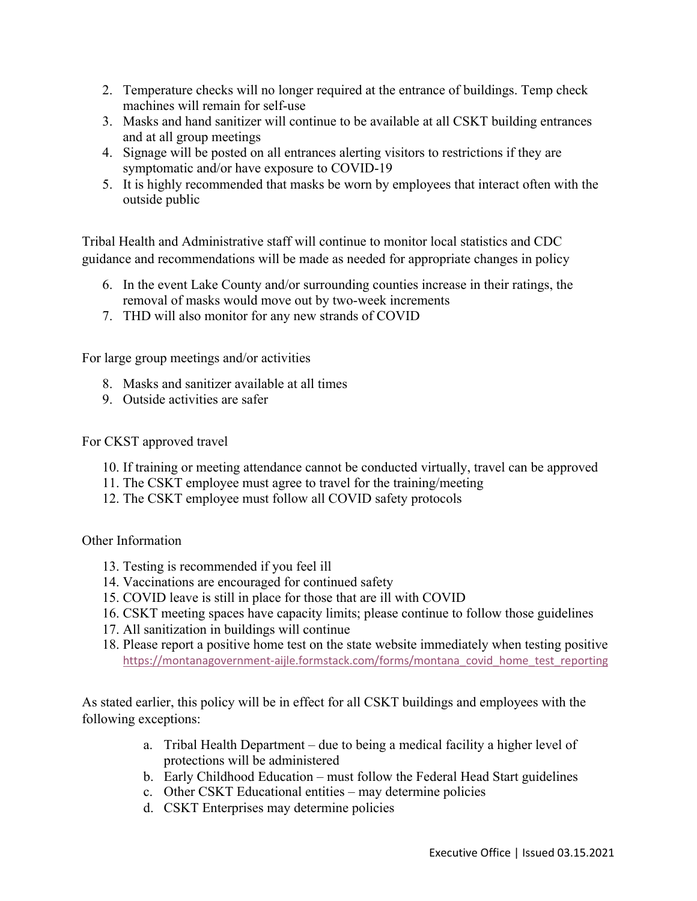- 2. Temperature checks will no longer required at the entrance of buildings. Temp check machines will remain for self-use
- 3. Masks and hand sanitizer will continue to be available at all CSKT building entrances and at all group meetings
- 4. Signage will be posted on all entrances alerting visitors to restrictions if they are symptomatic and/or have exposure to COVID-19
- 5. It is highly recommended that masks be worn by employees that interact often with the outside public

Tribal Health and Administrative staff will continue to monitor local statistics and CDC guidance and recommendations will be made as needed for appropriate changes in policy

- 6. In the event Lake County and/or surrounding counties increase in their ratings, the removal of masks would move out by two-week increments
- 7. THD will also monitor for any new strands of COVID

For large group meetings and/or activities

- 8. Masks and sanitizer available at all times
- 9. Outside activities are safer

For CKST approved travel

- 10. If training or meeting attendance cannot be conducted virtually, travel can be approved
- 11. The CSKT employee must agree to travel for the training/meeting
- 12. The CSKT employee must follow all COVID safety protocols

## Other Information

- 13. Testing is recommended if you feel ill
- 14. Vaccinations are encouraged for continued safety
- 15. COVID leave is still in place for those that are ill with COVID
- 16. CSKT meeting spaces have capacity limits; please continue to follow those guidelines
- 17. All sanitization in buildings will continue
- 18. Please report a positive home test on the state website immediately when testing positive https://montanagovernment-aijle.formstack.com/forms/montana\_covid\_home\_test\_reporting

As stated earlier, this policy will be in effect for all CSKT buildings and employees with the following exceptions:

- a. Tribal Health Department due to being a medical facility a higher level of protections will be administered
- b. Early Childhood Education must follow the Federal Head Start guidelines
- c. Other CSKT Educational entities may determine policies
- d. CSKT Enterprises may determine policies